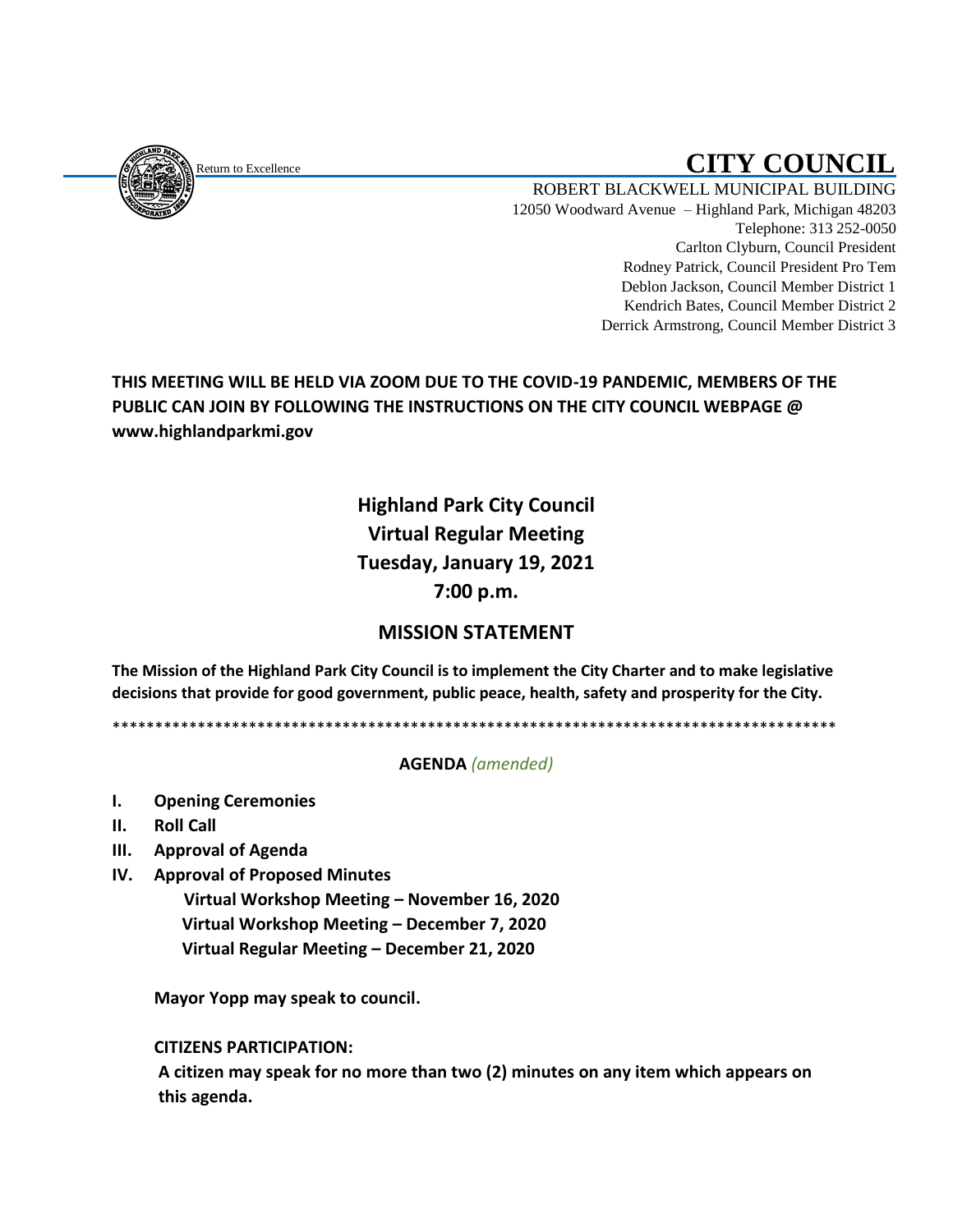<span id="page-0-0"></span>

# Return to Excellence **CITY COUNCIL**

ROBERT BLACKWELL MUNICIPAL BUILDING 12050 Woodward Avenue – Highland Park, Michigan 48203 Telephone: 313 252-0050 Carlton Clyburn, Council President Rodney Patrick, Council President Pro Tem Deblon Jackson, Council Member District 1 Kendrich Bates, Council Member District 2 Derrick Armstrong, Council Member District 3

**THIS MEETING WILL BE HELD VIA ZOOM DUE TO THE COVID-19 PANDEMIC, MEMBERS OF THE PUBLIC CAN JOIN BY FOLLOWING THE INSTRUCTIONS ON THE CITY COUNCIL WEBPAGE @ www.highlandparkmi.gov**

## **Highland Park City Council Virtual Regular Meeting Tuesday, January 19, 2021 7:00 p.m.**

### **MISSION STATEMENT**

**The Mission of the Highland Park City Council is to implement the City Charter and to make legislative decisions that provide for good government, public peace, health, safety and prosperity for the City.**

\*\*\*\*\*\*\*\*\*\*\*\*\*\*\*\*\*\*\*\*\*\*\*\*\*\*\*\*\*\*\*\*\*\*\*\*\*\*\*\*\*\*\*\*\*\*\*\*\*\*\*\*\*\*\*\*\*\*\*\*\*\*\*\*\*\*\*\*\*\*\*\*\*\*\*\*\*\*\*\*\*\*\*\*\*

#### **AGENDA** *(amended)*

- **I. Opening Ceremonies**
- **II. Roll Call**
- **III. Approval of Agenda**
- **IV. Approval of Proposed Minutes**

 **Virtual Workshop Meeting – November 16, 2020 Virtual Workshop Meeting – December 7, 2020 Virtual Regular Meeting – December 21, 2020** 

**Mayor Yopp may speak to council.** 

**CITIZENS PARTICIPATION:**

**A citizen may speak for no more than two (2) minutes on any item which appears on this agenda.**